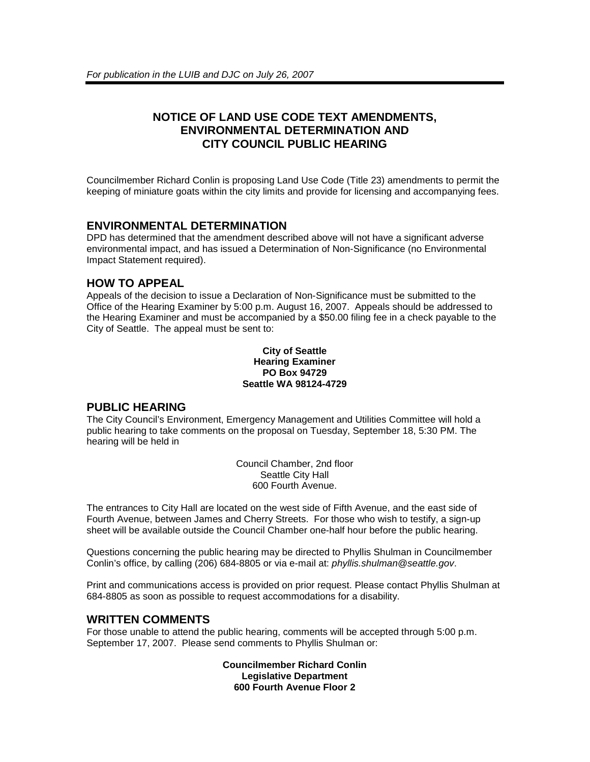# **NOTICE OF LAND USE CODE TEXT AMENDMENTS, ENVIRONMENTAL DETERMINATION AND CITY COUNCIL PUBLIC HEARING**

Councilmember Richard Conlin is proposing Land Use Code (Title 23) amendments to permit the keeping of miniature goats within the city limits and provide for licensing and accompanying fees.

### **ENVIRONMENTAL DETERMINATION**

DPD has determined that the amendment described above will not have a significant adverse environmental impact, and has issued a Determination of Non-Significance (no Environmental Impact Statement required).

#### **HOW TO APPEAL**

Appeals of the decision to issue a Declaration of Non-Significance must be submitted to the Office of the Hearing Examiner by 5:00 p.m. August 16, 2007. Appeals should be addressed to the Hearing Examiner and must be accompanied by a \$50.00 filing fee in a check payable to the City of Seattle. The appeal must be sent to:

#### **City of Seattle Hearing Examiner PO Box 94729 Seattle WA 98124-4729**

## **PUBLIC HEARING**

The City Council's Environment, Emergency Management and Utilities Committee will hold a public hearing to take comments on the proposal on Tuesday, September 18, 5:30 PM. The hearing will be held in

> Council Chamber, 2nd floor Seattle City Hall 600 Fourth Avenue.

The entrances to City Hall are located on the west side of Fifth Avenue, and the east side of Fourth Avenue, between James and Cherry Streets. For those who wish to testify, a sign-up sheet will be available outside the Council Chamber one-half hour before the public hearing.

Questions concerning the public hearing may be directed to Phyllis Shulman in Councilmember Conlin's office, by calling (206) 684-8805 or via e-mail at: *phyllis.shulman@seattle.gov*.

Print and communications access is provided on prior request. Please contact Phyllis Shulman at 684-8805 as soon as possible to request accommodations for a disability.

## **WRITTEN COMMENTS**

For those unable to attend the public hearing, comments will be accepted through 5:00 p.m. September 17, 2007. Please send comments to Phyllis Shulman or:

> **Councilmember Richard Conlin Legislative Department 600 Fourth Avenue Floor 2**